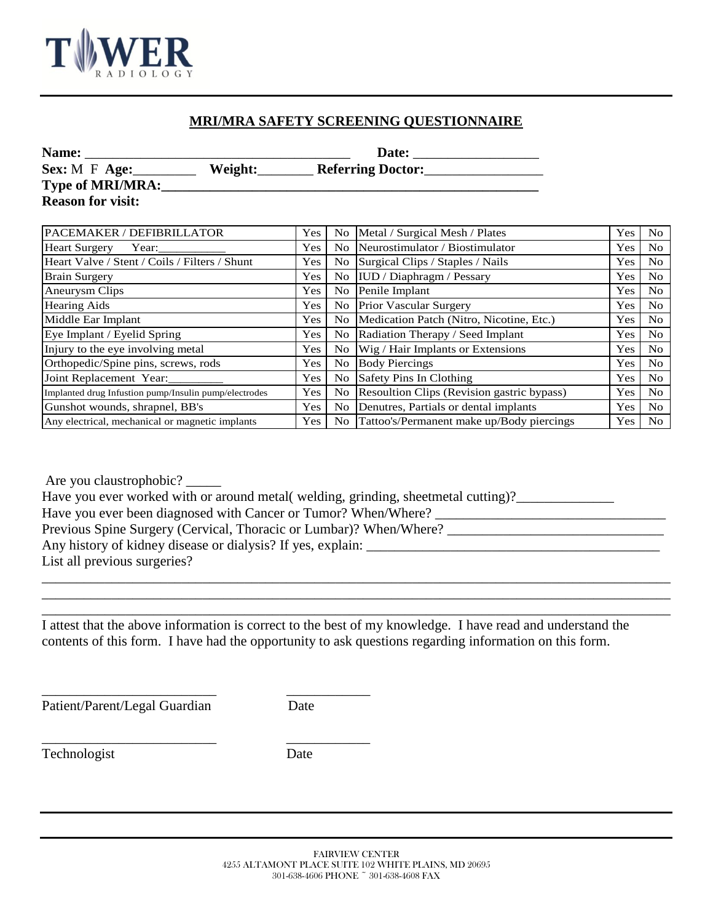

## **MRI/MRA SAFETY SCREENING QUESTIONNAIRE**

| Name:                    | Date:   |                          |  |  |  |
|--------------------------|---------|--------------------------|--|--|--|
| Sex: $M \tF Age$ :       | Weight: | <b>Referring Doctor:</b> |  |  |  |
| Type of MRI/MRA:         |         |                          |  |  |  |
| <b>Reason for visit:</b> |         |                          |  |  |  |
|                          |         |                          |  |  |  |

| PACEMAKER / DEFIBRILLATOR                             |     | No   Metal / Surgical Mesh / Plates           |     | N <sub>0</sub> |
|-------------------------------------------------------|-----|-----------------------------------------------|-----|----------------|
| <b>Heart Surgery</b><br>Year:                         |     | No Neurostimulator / Biostimulator            |     | N <sub>o</sub> |
| Heart Valve / Stent / Coils / Filters / Shunt         |     | No Surgical Clips / Staples / Nails           |     | N <sub>o</sub> |
| <b>Brain Surgery</b>                                  |     | No IUD / Diaphragm / Pessary                  |     | N <sub>o</sub> |
| Aneurysm Clips                                        |     | No Penile Implant                             |     | N <sub>o</sub> |
| <b>Hearing Aids</b>                                   | Yes | No Prior Vascular Surgery                     | Yes | N <sub>o</sub> |
| Middle Ear Implant                                    |     | No Medication Patch (Nitro, Nicotine, Etc.)   | Yes | N <sub>o</sub> |
| Eye Implant / Eyelid Spring                           |     | No Radiation Therapy / Seed Implant           |     | N <sub>o</sub> |
| Injury to the eye involving metal                     |     | No Wig / Hair Implants or Extensions          |     | N <sub>o</sub> |
| Orthopedic/Spine pins, screws, rods                   | Yes | No Body Piercings                             | Yes | N <sub>o</sub> |
| Joint Replacement Year:                               | Yes | No Safety Pins In Clothing                    | Yes | N <sub>o</sub> |
| Implanted drug Infustion pump/Insulin pump/electrodes | Yes | No Resoultion Clips (Revision gastric bypass) | Yes | N <sub>o</sub> |
| Gunshot wounds, shrapnel, BB's                        |     | No Denutres, Partials or dental implants      |     | No             |
| Any electrical, mechanical or magnetic implants       |     | No Tattoo's/Permanent make up/Body piercings  | Yes | No.            |

Are you claustrophobic?

Have you ever worked with or around metal( welding, grinding, sheetmetal cutting)?\_\_\_\_\_\_\_\_\_\_\_\_\_\_\_\_\_

Have you ever been diagnosed with Cancer or Tumor? When/Where? \_\_\_\_\_\_\_\_\_\_\_\_\_\_\_\_\_\_\_\_\_\_\_\_\_\_\_\_\_\_\_\_\_

Previous Spine Surgery (Cervical, Thoracic or Lumbar)? When/Where? \_\_\_\_\_\_\_\_\_\_\_\_\_\_\_\_\_\_\_\_\_\_\_\_\_\_\_\_\_\_\_

Any history of kidney disease or dialysis? If yes, explain:

\_\_\_\_\_\_\_\_\_\_\_\_\_\_\_\_\_\_\_\_\_\_\_\_\_ \_\_\_\_\_\_\_\_\_\_\_\_

\_\_\_\_\_\_\_\_\_\_\_\_\_\_\_\_\_\_\_\_\_\_\_\_\_ \_\_\_\_\_\_\_\_\_\_\_\_

List all previous surgeries?

I attest that the above information is correct to the best of my knowledge. I have read and understand the contents of this form. I have had the opportunity to ask questions regarding information on this form.

\_\_\_\_\_\_\_\_\_\_\_\_\_\_\_\_\_\_\_\_\_\_\_\_\_\_\_\_\_\_\_\_\_\_\_\_\_\_\_\_\_\_\_\_\_\_\_\_\_\_\_\_\_\_\_\_\_\_\_\_\_\_\_\_\_\_\_\_\_\_\_\_\_\_\_\_\_\_\_\_\_\_\_\_\_\_\_\_\_\_ \_\_\_\_\_\_\_\_\_\_\_\_\_\_\_\_\_\_\_\_\_\_\_\_\_\_\_\_\_\_\_\_\_\_\_\_\_\_\_\_\_\_\_\_\_\_\_\_\_\_\_\_\_\_\_\_\_\_\_\_\_\_\_\_\_\_\_\_\_\_\_\_\_\_\_\_\_\_\_\_\_\_\_\_\_\_\_\_\_\_ \_\_\_\_\_\_\_\_\_\_\_\_\_\_\_\_\_\_\_\_\_\_\_\_\_\_\_\_\_\_\_\_\_\_\_\_\_\_\_\_\_\_\_\_\_\_\_\_\_\_\_\_\_\_\_\_\_\_\_\_\_\_\_\_\_\_\_\_\_\_\_\_\_\_\_\_\_\_\_\_\_\_\_\_\_\_\_\_\_\_

Patient/Parent/Legal Guardian Date

Technologist Date